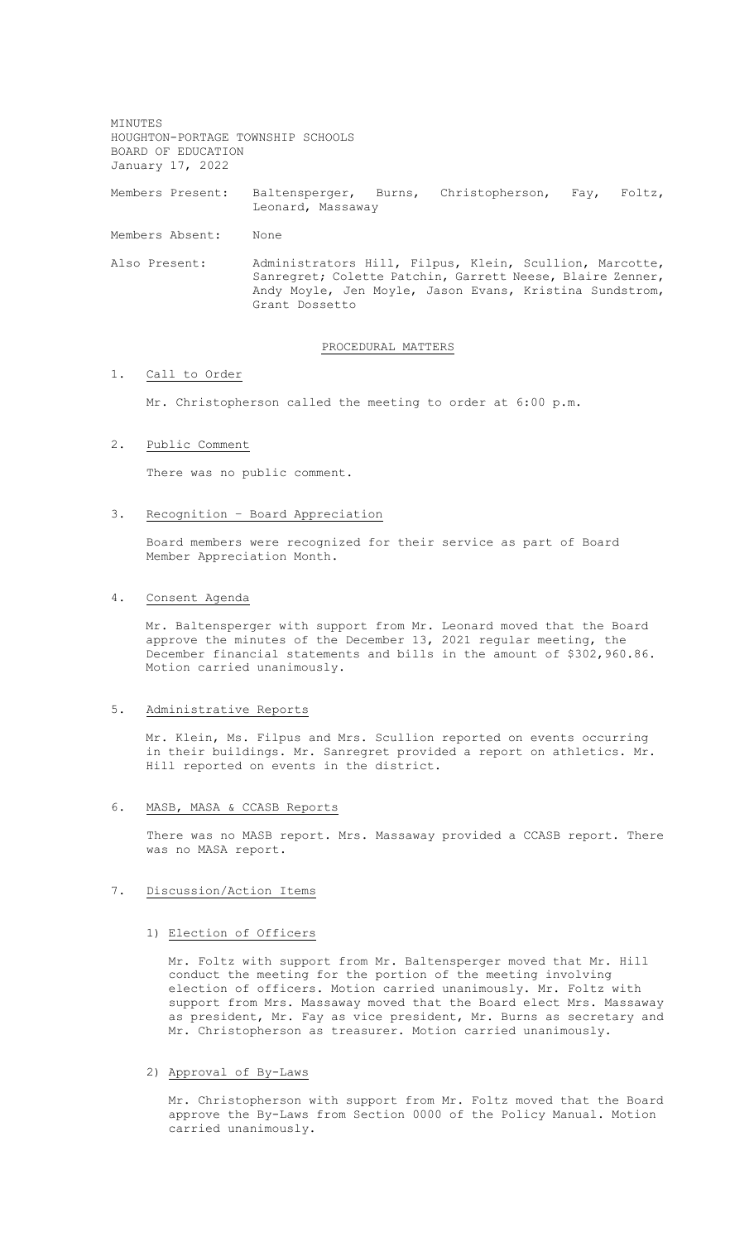MINUTES HOUGHTON-PORTAGE TOWNSHIP SCHOOLS BOARD OF EDUCATION January 17, 2022

Members Present: Baltensperger, Burns, Christopherson, Fay, Foltz, Leonard, Massaway

Members Absent: None

Also Present: Administrators Hill, Filpus, Klein, Scullion, Marcotte, Sanregret; Colette Patchin, Garrett Neese, Blaire Zenner, Andy Moyle, Jen Moyle, Jason Evans, Kristina Sundstrom, Grant Dossetto

#### PROCEDURAL MATTERS

# 1. Call to Order

Mr. Christopherson called the meeting to order at 6:00 p.m.

2. Public Comment

There was no public comment.

### 3. Recognition – Board Appreciation

Board members were recognized for their service as part of Board Member Appreciation Month.

#### 4. Consent Agenda

Mr. Baltensperger with support from Mr. Leonard moved that the Board approve the minutes of the December 13, 2021 regular meeting, the December financial statements and bills in the amount of \$302,960.86. Motion carried unanimously.

#### 5. Administrative Reports

Mr. Klein, Ms. Filpus and Mrs. Scullion reported on events occurring in their buildings. Mr. Sanregret provided a report on athletics. Mr. Hill reported on events in the district.

6. MASB, MASA & CCASB Reports

There was no MASB report. Mrs. Massaway provided a CCASB report. There was no MASA report.

## 7. Discussion/Action Items

1) Election of Officers

Mr. Foltz with support from Mr. Baltensperger moved that Mr. Hill conduct the meeting for the portion of the meeting involving election of officers. Motion carried unanimously. Mr. Foltz with support from Mrs. Massaway moved that the Board elect Mrs. Massaway as president, Mr. Fay as vice president, Mr. Burns as secretary and Mr. Christopherson as treasurer. Motion carried unanimously.

## 2) Approval of By-Laws

Mr. Christopherson with support from Mr. Foltz moved that the Board approve the By-Laws from Section 0000 of the Policy Manual. Motion carried unanimously.